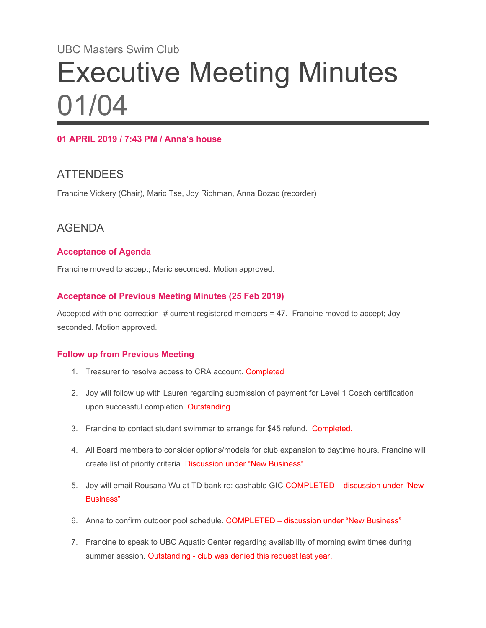# UBC Masters Swim Club Executive Meeting Minutes 01/04

#### **01 APRIL 2019 / 7:43 PM / Anna's house**

# **ATTENDEES**

Francine Vickery (Chair), Maric Tse, Joy Richman, Anna Bozac (recorder)

# AGENDA

#### **Acceptance of Agenda**

Francine moved to accept; Maric seconded. Motion approved.

#### **Acceptance of Previous Meeting Minutes (25 Feb 2019)**

Accepted with one correction: # current registered members = 47. Francine moved to accept; Joy seconded. Motion approved.

#### **Follow up from Previous Meeting**

- 1. Treasurer to resolve access to CRA account. Completed
- 2. Joy will follow up with Lauren regarding submission of payment for Level 1 Coach certification upon successful completion. Outstanding
- 3. Francine to contact student swimmer to arrange for \$45 refund. Completed.
- 4. All Board members to consider options/models for club expansion to daytime hours. Francine will create list of priority criteria. Discussion under "New Business"
- 5. Joy will email Rousana Wu at TD bank re: cashable GIC COMPLETED discussion under "New Business"
- 6. Anna to confirm outdoor pool schedule. COMPLETED discussion under "New Business"
- 7. Francine to speak to UBC Aquatic Center regarding availability of morning swim times during summer session. Outstanding - club was denied this request last year.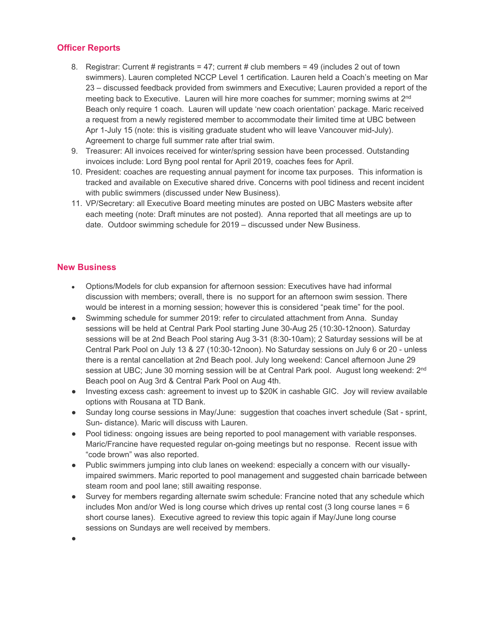#### **Officer Reports**

- 8. Registrar: Current # registrants = 47; current # club members = 49 (includes 2 out of town swimmers). Lauren completed NCCP Level 1 certification. Lauren held a Coach's meeting on Mar 23 – discussed feedback provided from swimmers and Executive; Lauren provided a report of the meeting back to Executive. Lauren will hire more coaches for summer; morning swims at  $2^{nd}$ Beach only require 1 coach. Lauren will update 'new coach orientation' package. Maric received a request from a newly registered member to accommodate their limited time at UBC between Apr 1-July 15 (note: this is visiting graduate student who will leave Vancouver mid-July). Agreement to charge full summer rate after trial swim.
- 9. Treasurer: All invoices received for winter/spring session have been processed. Outstanding invoices include: Lord Byng pool rental for April 2019, coaches fees for April.
- 10. President: coaches are requesting annual payment for income tax purposes. This information is tracked and available on Executive shared drive. Concerns with pool tidiness and recent incident with public swimmers (discussed under New Business).
- 11. VP/Secretary: all Executive Board meeting minutes are posted on UBC Masters website after each meeting (note: Draft minutes are not posted). Anna reported that all meetings are up to date. Outdoor swimming schedule for 2019 – discussed under New Business.

#### **New Business**

- Options/Models for club expansion for afternoon session: Executives have had informal discussion with members; overall, there is no support for an afternoon swim session. There would be interest in a morning session; however this is considered "peak time" for the pool.
- Swimming schedule for summer 2019: refer to circulated attachment from Anna. Sunday sessions will be held at Central Park Pool starting June 30-Aug 25 (10:30-12noon). Saturday sessions will be at 2nd Beach Pool staring Aug 3-31 (8:30-10am); 2 Saturday sessions will be at Central Park Pool on July 13 & 27 (10:30-12noon). No Saturday sessions on July 6 or 20 - unless there is a rental cancellation at 2nd Beach pool. July long weekend: Cancel afternoon June 29 session at UBC; June 30 morning session will be at Central Park pool.  $\,$  August long weekend:  $2^{\mathsf{nd}}$ Beach pool on Aug 3rd & Central Park Pool on Aug 4th.
- Investing excess cash: agreement to invest up to \$20K in cashable GIC. Joy will review available options with Rousana at TD Bank.
- Sunday long course sessions in May/June: suggestion that coaches invert schedule (Sat sprint, Sun- distance). Maric will discuss with Lauren.
- Pool tidiness: ongoing issues are being reported to pool management with variable responses. Maric/Francine have requested regular on-going meetings but no response. Recent issue with "code brown" was also reported.
- Public swimmers jumping into club lanes on weekend: especially a concern with our visuallyimpaired swimmers. Maric reported to pool management and suggested chain barricade between steam room and pool lane; still awaiting response.
- Survey for members regarding alternate swim schedule: Francine noted that any schedule which includes Mon and/or Wed is long course which drives up rental cost (3 long course lanes = 6 short course lanes). Executive agreed to review this topic again if May/June long course sessions on Sundays are well received by members.

●